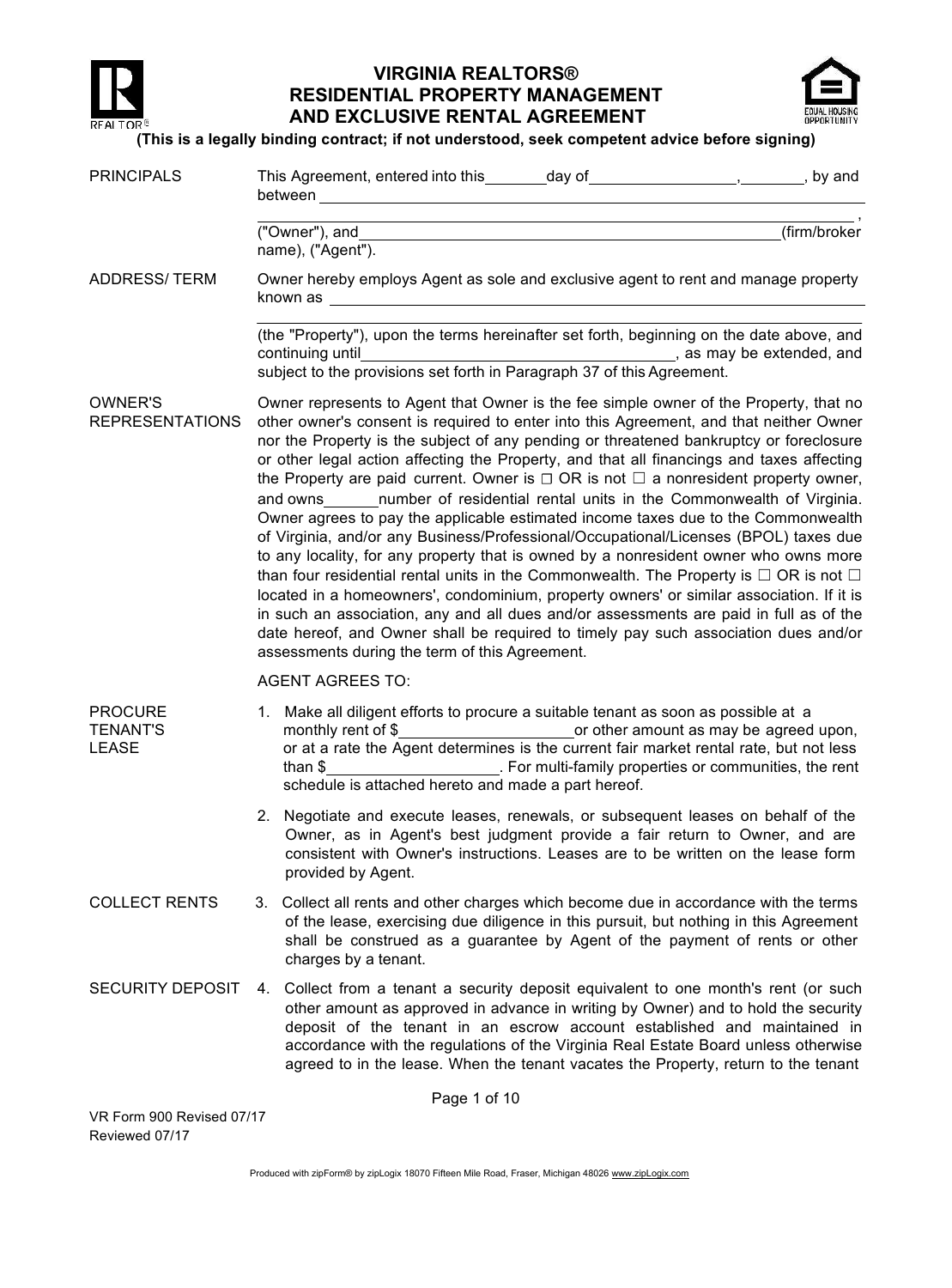

## **VIRGINIA REALTORS® RESIDENTIAL PROPERTY MANAGEMENT AND EXCLUSIVE RENTAL AGREEMENT**



#### **(This is a legally binding contract; if not understood, seek competent advice before signing)**

| <b>PRINCIPALS</b>                                 |                                                                                                                                                                                                                                                                                                                                                                                                                                                                                                                                                                                                                                                                                                                                                                                                                                                                                                                                                                                                                                                                                                                                                                                                                                                                   | This Agreement, entered into this ________day of ___________________________, by and<br>between <b>with a contract of the contract of the contract of the contract of the contract of the contract of the contract of the contract of the contract of the contract of the contract of the contract of the contract of th</b>                                                                                                  |  |
|---------------------------------------------------|-------------------------------------------------------------------------------------------------------------------------------------------------------------------------------------------------------------------------------------------------------------------------------------------------------------------------------------------------------------------------------------------------------------------------------------------------------------------------------------------------------------------------------------------------------------------------------------------------------------------------------------------------------------------------------------------------------------------------------------------------------------------------------------------------------------------------------------------------------------------------------------------------------------------------------------------------------------------------------------------------------------------------------------------------------------------------------------------------------------------------------------------------------------------------------------------------------------------------------------------------------------------|-------------------------------------------------------------------------------------------------------------------------------------------------------------------------------------------------------------------------------------------------------------------------------------------------------------------------------------------------------------------------------------------------------------------------------|--|
|                                                   |                                                                                                                                                                                                                                                                                                                                                                                                                                                                                                                                                                                                                                                                                                                                                                                                                                                                                                                                                                                                                                                                                                                                                                                                                                                                   | <u> 1989 - Johann Stoff, deutscher Stoff, der Stoff, der Stoff, der Stoff, der Stoff, der Stoff, der Stoff, der S</u><br>("Owner"), and<br>(firm/broker<br>name), ("Agent").                                                                                                                                                                                                                                                  |  |
| <b>ADDRESS/TERM</b>                               |                                                                                                                                                                                                                                                                                                                                                                                                                                                                                                                                                                                                                                                                                                                                                                                                                                                                                                                                                                                                                                                                                                                                                                                                                                                                   | Owner hereby employs Agent as sole and exclusive agent to rent and manage property                                                                                                                                                                                                                                                                                                                                            |  |
|                                                   |                                                                                                                                                                                                                                                                                                                                                                                                                                                                                                                                                                                                                                                                                                                                                                                                                                                                                                                                                                                                                                                                                                                                                                                                                                                                   | (the "Property"), upon the terms hereinafter set forth, beginning on the date above, and<br>subject to the provisions set forth in Paragraph 37 of this Agreement.                                                                                                                                                                                                                                                            |  |
| OWNER'S<br><b>REPRESENTATIONS</b>                 | Owner represents to Agent that Owner is the fee simple owner of the Property, that no<br>other owner's consent is required to enter into this Agreement, and that neither Owner<br>nor the Property is the subject of any pending or threatened bankruptcy or foreclosure<br>or other legal action affecting the Property, and that all financings and taxes affecting<br>the Property are paid current. Owner is $\Box$ OR is not $\Box$ a nonresident property owner,<br>number of residential rental units in the Commonwealth of Virginia.<br>and owns<br>Owner agrees to pay the applicable estimated income taxes due to the Commonwealth<br>of Virginia, and/or any Business/Professional/Occupational/Licenses (BPOL) taxes due<br>to any locality, for any property that is owned by a nonresident owner who owns more<br>than four residential rental units in the Commonwealth. The Property is $\Box$ OR is not $\Box$<br>located in a homeowners', condominium, property owners' or similar association. If it is<br>in such an association, any and all dues and/or assessments are paid in full as of the<br>date hereof, and Owner shall be required to timely pay such association dues and/or<br>assessments during the term of this Agreement. |                                                                                                                                                                                                                                                                                                                                                                                                                               |  |
|                                                   |                                                                                                                                                                                                                                                                                                                                                                                                                                                                                                                                                                                                                                                                                                                                                                                                                                                                                                                                                                                                                                                                                                                                                                                                                                                                   | <b>AGENT AGREES TO:</b>                                                                                                                                                                                                                                                                                                                                                                                                       |  |
| <b>PROCURE</b><br><b>TENANT'S</b><br><b>LEASE</b> |                                                                                                                                                                                                                                                                                                                                                                                                                                                                                                                                                                                                                                                                                                                                                                                                                                                                                                                                                                                                                                                                                                                                                                                                                                                                   | 1. Make all diligent efforts to procure a suitable tenant as soon as possible at a<br>monthly rent of \$_________________________________or other amount as may be agreed upon,<br>or at a rate the Agent determines is the current fair market rental rate, but not less<br>. For multi-family properties or communities, the rent<br>than $$$<br>schedule is attached hereto and made a part hereof.                        |  |
|                                                   |                                                                                                                                                                                                                                                                                                                                                                                                                                                                                                                                                                                                                                                                                                                                                                                                                                                                                                                                                                                                                                                                                                                                                                                                                                                                   | 2. Negotiate and execute leases, renewals, or subsequent leases on behalf of the<br>Owner, as in Agent's best judgment provide a fair return to Owner, and are<br>consistent with Owner's instructions. Leases are to be written on the lease form<br>provided by Agent.                                                                                                                                                      |  |
| <b>COLLECT RENTS</b>                              |                                                                                                                                                                                                                                                                                                                                                                                                                                                                                                                                                                                                                                                                                                                                                                                                                                                                                                                                                                                                                                                                                                                                                                                                                                                                   | 3. Collect all rents and other charges which become due in accordance with the terms<br>of the lease, exercising due diligence in this pursuit, but nothing in this Agreement<br>shall be construed as a guarantee by Agent of the payment of rents or other<br>charges by a tenant.                                                                                                                                          |  |
| <b>SECURITY DEPOSIT</b>                           | 4.                                                                                                                                                                                                                                                                                                                                                                                                                                                                                                                                                                                                                                                                                                                                                                                                                                                                                                                                                                                                                                                                                                                                                                                                                                                                | Collect from a tenant a security deposit equivalent to one month's rent (or such<br>other amount as approved in advance in writing by Owner) and to hold the security<br>deposit of the tenant in an escrow account established and maintained in<br>accordance with the regulations of the Virginia Real Estate Board unless otherwise<br>agreed to in the lease. When the tenant vacates the Property, return to the tenant |  |
|                                                   |                                                                                                                                                                                                                                                                                                                                                                                                                                                                                                                                                                                                                                                                                                                                                                                                                                                                                                                                                                                                                                                                                                                                                                                                                                                                   | Page 1 of 10                                                                                                                                                                                                                                                                                                                                                                                                                  |  |

VR Form 900 Revised 07/17 Reviewed 07/17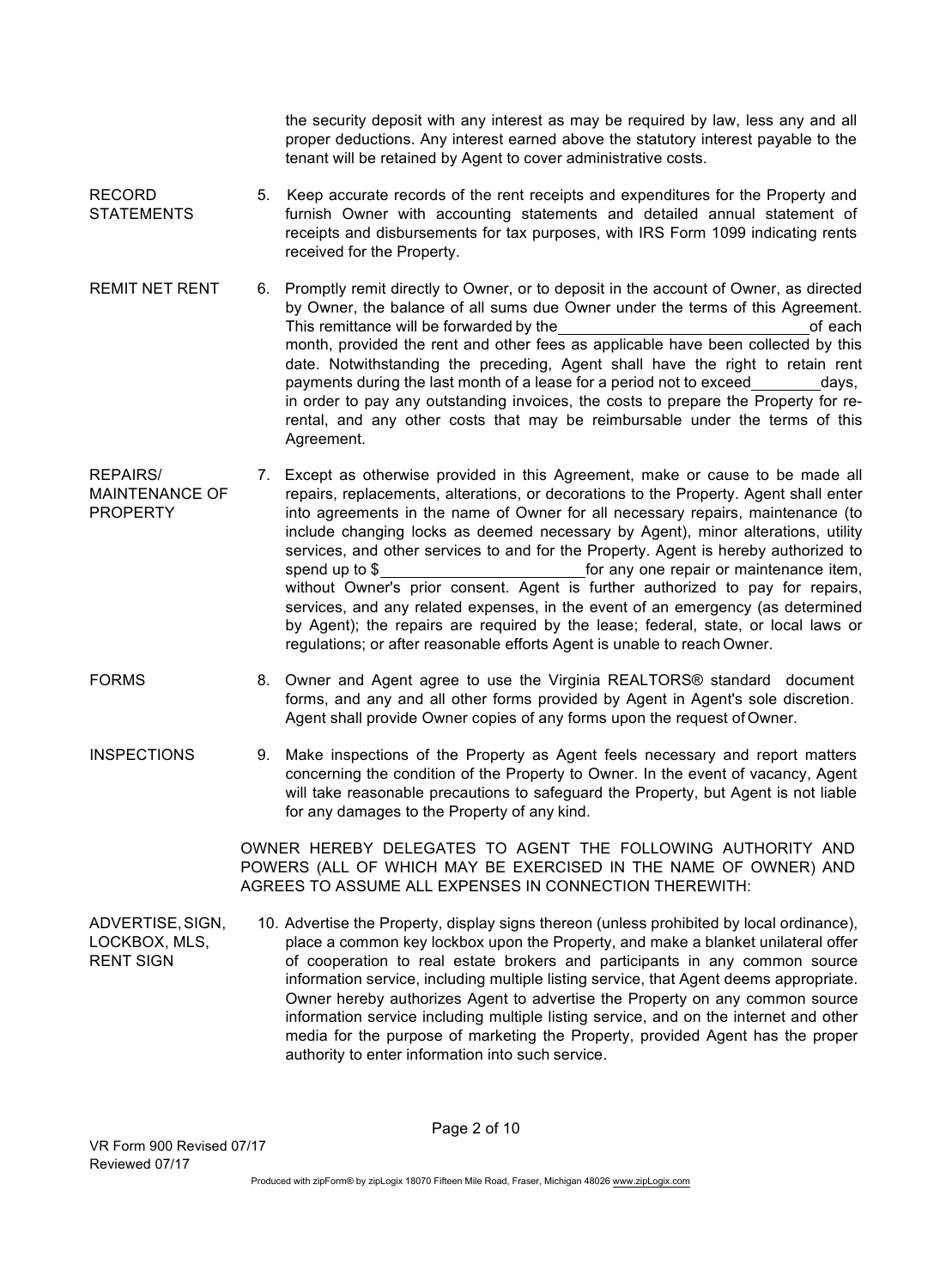the security deposit with any interest as may be required by law, less any and all proper deductions. Any interest earned above the statutory interest payable to the tenant will be retained by Agent to cover administrative costs.

- RECORD **STATEMENTS** 5. Keep accurate records of the rent receipts and expenditures for the Property and furnish Owner with accounting statements and detailed annual statement of receipts and disbursements for tax purposes, with IRS Form 1099 indicating rents received for the Property.
- REMIT NET RENT 6. Promptly remit directly to Owner, or to deposit in the account of Owner, as directed by Owner, the balance of all sums due Owner under the terms of this Agreement. This remittance will be forwarded by the of each of each of each of each of each of each of each of each of each of each of each of each of each of each of each of each of each of each of each of each of each of each of ea month, provided the rent and other fees as applicable have been collected by this date. Notwithstanding the preceding, Agent shall have the right to retain rent payments during the last month of a lease for a period not to exceed days, in order to pay any outstanding invoices, the costs to prepare the Property for rerental, and any other costs that may be reimbursable under the terms of this Agreement.
- REPAIRS/ MAINTENANCE OF PROPERTY 7. Except as otherwise provided in this Agreement, make or cause to be made all repairs, replacements, alterations, or decorations to the Property. Agent shall enter into agreements in the name of Owner for all necessary repairs, maintenance (to include changing locks as deemed necessary by Agent), minor alterations, utility services, and other services to and for the Property. Agent is hereby authorized to spend up to \$ for any one repair or maintenance item, without Owner's prior consent. Agent is further authorized to pay for repairs, services, and any related expenses, in the event of an emergency (as determined by Agent); the repairs are required by the lease; federal, state, or local laws or regulations; or after reasonable efforts Agent is unable to reach Owner.
- FORMS 8. Owner and Agent agree to use the Virginia REALTORS® standard document forms, and any and all other forms provided by Agent in Agent's sole discretion. Agent shall provide Owner copies of any forms upon the request of Owner.
- INSPECTIONS 9. Make inspections of the Property as Agent feels necessary and report matters concerning the condition of the Property to Owner. In the event of vacancy, Agent will take reasonable precautions to safeguard the Property, but Agent is not liable for any damages to the Property of any kind.

OWNER HEREBY DELEGATES TO AGENT THE FOLLOWING AUTHORITY AND POWERS (ALL OF WHICH MAY BE EXERCISED IN THE NAME OF OWNER) AND AGREES TO ASSUME ALL EXPENSES IN CONNECTION THEREWITH:

ADVERTISE,SIGN, LOCKBOX, MLS, RENT SIGN 10. Advertise the Property, display signs thereon (unless prohibited by local ordinance), place a common key lockbox upon the Property, and make a blanket unilateral offer of cooperation to real estate brokers and participants in any common source information service, including multiple listing service, that Agent deems appropriate. Owner hereby authorizes Agent to advertise the Property on any common source information service including multiple listing service, and on the internet and other media for the purpose of marketing the Property, provided Agent has the proper authority to enter information into such service.

Page 2 of 10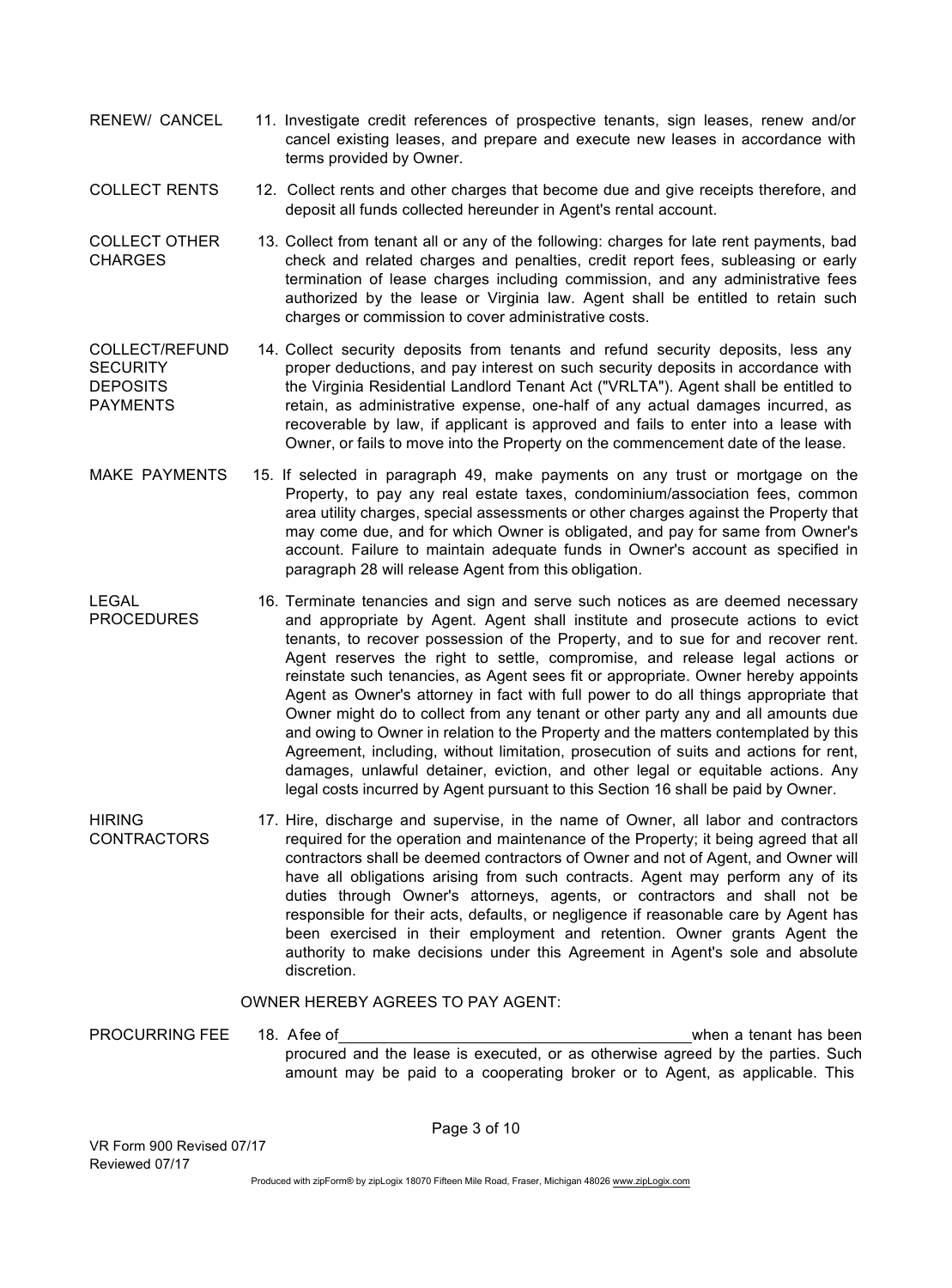- RENEW/ CANCEL 11. Investigate credit references of prospective tenants, sign leases, renew and/or cancel existing leases, and prepare and execute new leases in accordance with terms provided by Owner.
- COLLECT RENTS 12. Collect rents and other charges that become due and give receipts therefore, and deposit all funds collected hereunder in Agent's rental account.
- COLLECT OTHER **CHARGES** 13. Collect from tenant all or any of the following: charges for late rent payments, bad check and related charges and penalties, credit report fees, subleasing or early termination of lease charges including commission, and any administrative fees authorized by the lease or Virginia law. Agent shall be entitled to retain such charges or commission to cover administrative costs.
- COLLECT/REFUND **SECURITY DEPOSITS** PAYMENTS 14. Collect security deposits from tenants and refund security deposits, less any proper deductions, and pay interest on such security deposits in accordance with the Virginia Residential Landlord Tenant Act ("VRLTA"). Agent shall be entitled to retain, as administrative expense, one-half of any actual damages incurred, as recoverable by law, if applicant is approved and fails to enter into a lease with Owner, or fails to move into the Property on the commencement date of the lease.
- MAKE PAYMENTS 15. If selected in paragraph 49, make payments on any trust or mortgage on the Property, to pay any real estate taxes, condominium/association fees, common area utility charges, special assessments or other charges against the Property that may come due, and for which Owner is obligated, and pay for same from Owner's account. Failure to maintain adequate funds in Owner's account as specified in paragraph 28 will release Agent from this obligation.
- LEGAL **PROCEDURES** 16. Terminate tenancies and sign and serve such notices as are deemed necessary and appropriate by Agent. Agent shall institute and prosecute actions to evict tenants, to recover possession of the Property, and to sue for and recover rent. Agent reserves the right to settle, compromise, and release legal actions or reinstate such tenancies, as Agent sees fit or appropriate. Owner hereby appoints Agent as Owner's attorney in fact with full power to do all things appropriate that Owner might do to collect from any tenant or other party any and all amounts due and owing to Owner in relation to the Property and the matters contemplated by this Agreement, including, without limitation, prosecution of suits and actions for rent, damages, unlawful detainer, eviction, and other legal or equitable actions. Any legal costs incurred by Agent pursuant to this Section 16 shall be paid by Owner.
- HIRING **CONTRACTORS** 17. Hire, discharge and supervise, in the name of Owner, all labor and contractors required for the operation and maintenance of the Property; it being agreed that all contractors shall be deemed contractors of Owner and not of Agent, and Owner will have all obligations arising from such contracts. Agent may perform any of its duties through Owner's attorneys, agents, or contractors and shall not be responsible for their acts, defaults, or negligence if reasonable care by Agent has been exercised in their employment and retention. Owner grants Agent the authority to make decisions under this Agreement in Agent's sole and absolute discretion.

#### OWNER HEREBY AGREES TO PAY AGENT:

PROCURRING FEE 18. Afee of when a tenant has been procured and the lease is executed, or as otherwise agreed by the parties. Such amount may be paid to a cooperating broker or to Agent, as applicable. This

Page 3 of 10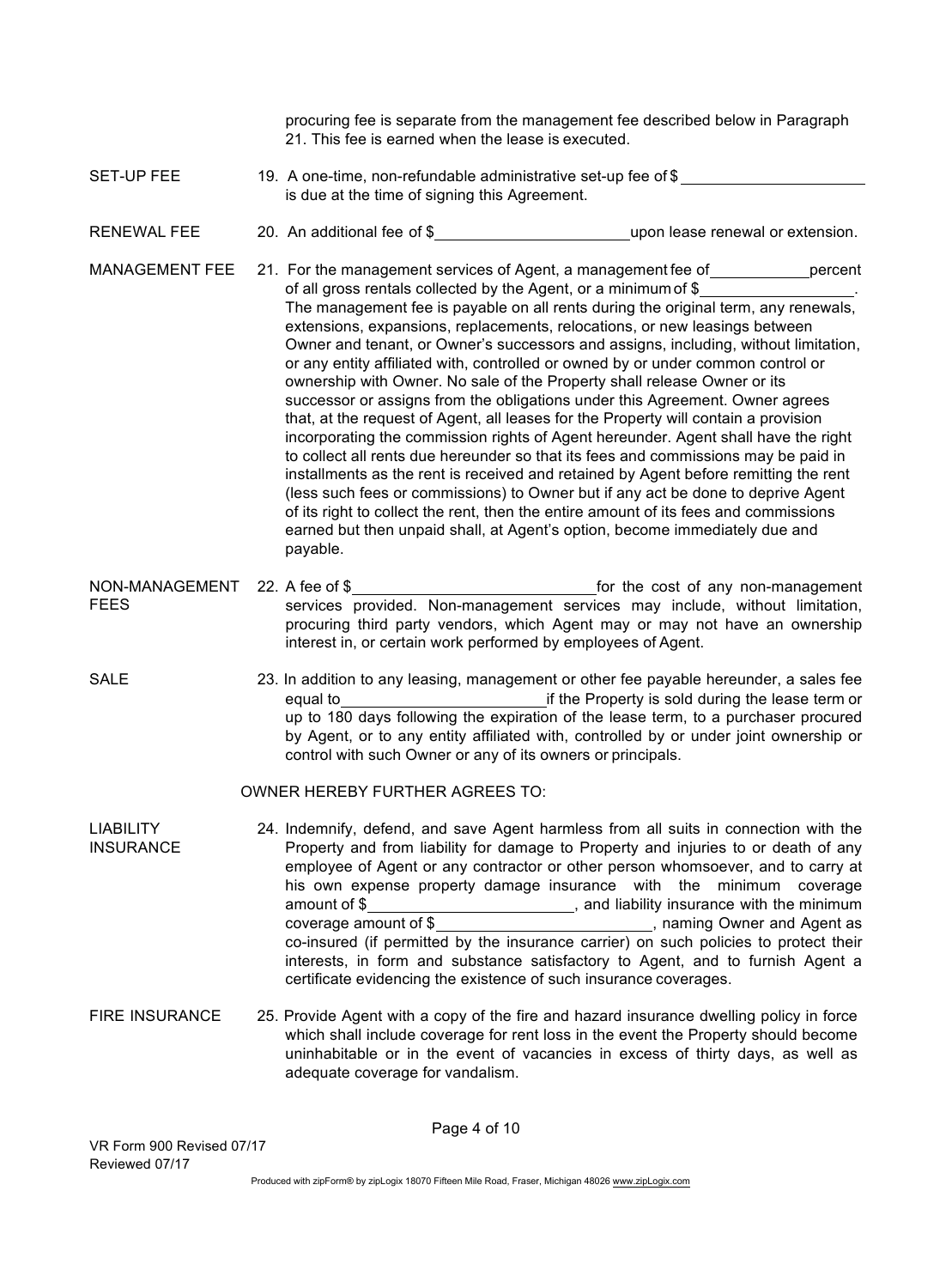procuring fee is separate from the management fee described below in Paragraph 21. This fee is earned when the lease is executed.

- SET-UP FEE 19. A one-time, non-refundable administrative set-up fee of \$ is due at the time of signing this Agreement.
- RENEWAL FEE 20. An additional fee of \$
- MANAGEMENT FEE 21. For the management services of Agent, a management fee of percent of all gross rentals collected by the Agent, or a minimum of \$ . The management fee is payable on all rents during the original term, any renewals, extensions, expansions, replacements, relocations, or new leasings between Owner and tenant, or Owner's successors and assigns, including, without limitation, or any entity affiliated with, controlled or owned by or under common control or ownership with Owner. No sale of the Property shall release Owner or its successor or assigns from the obligations under this Agreement. Owner agrees that, at the request of Agent, all leases for the Property will contain a provision incorporating the commission rights of Agent hereunder. Agent shall have the right to collect all rents due hereunder so that its fees and commissions may be paid in installments as the rent is received and retained by Agent before remitting the rent (less such fees or commissions) to Owner but if any act be done to deprive Agent of its right to collect the rent, then the entire amount of its fees and commissions earned but then unpaid shall, at Agent's option, become immediately due and payable.
- NON-MANAGEMENT 22. A fee of \$ FEES **22. A for the cost of any non-management** services provided. Non-management services may include, without limitation, procuring third party vendors, which Agent may or may not have an ownership interest in, or certain work performed by employees of Agent.
- SALE 23. In addition to any leasing, management or other fee payable hereunder, a sales fee equal to if the Property is sold during the lease term or up to 180 days following the expiration of the lease term, to a purchaser procured by Agent, or to any entity affiliated with, controlled by or under joint ownership or control with such Owner or any of its owners or principals.

#### OWNER HEREBY FURTHER AGREES TO:

- LIABILITY **INSURANCE** 24. Indemnify, defend, and save Agent harmless from all suits in connection with the Property and from liability for damage to Property and injuries to or death of any employee of Agent or any contractor or other person whomsoever, and to carry at his own expense property damage insurance with the minimum coverage amount of \$ coverage amount of \$ co-insured (if permitted by the insurance carrier) on such policies to protect their interests, in form and substance satisfactory to Agent, and to furnish Agent a certificate evidencing the existence of such insurance coverages.
- FIRE INSURANCE 25. Provide Agent with a copy of the fire and hazard insurance dwelling policy in force which shall include coverage for rent loss in the event the Property should become uninhabitable or in the event of vacancies in excess of thirty days, as well as adequate coverage for vandalism.

Page 4 of 10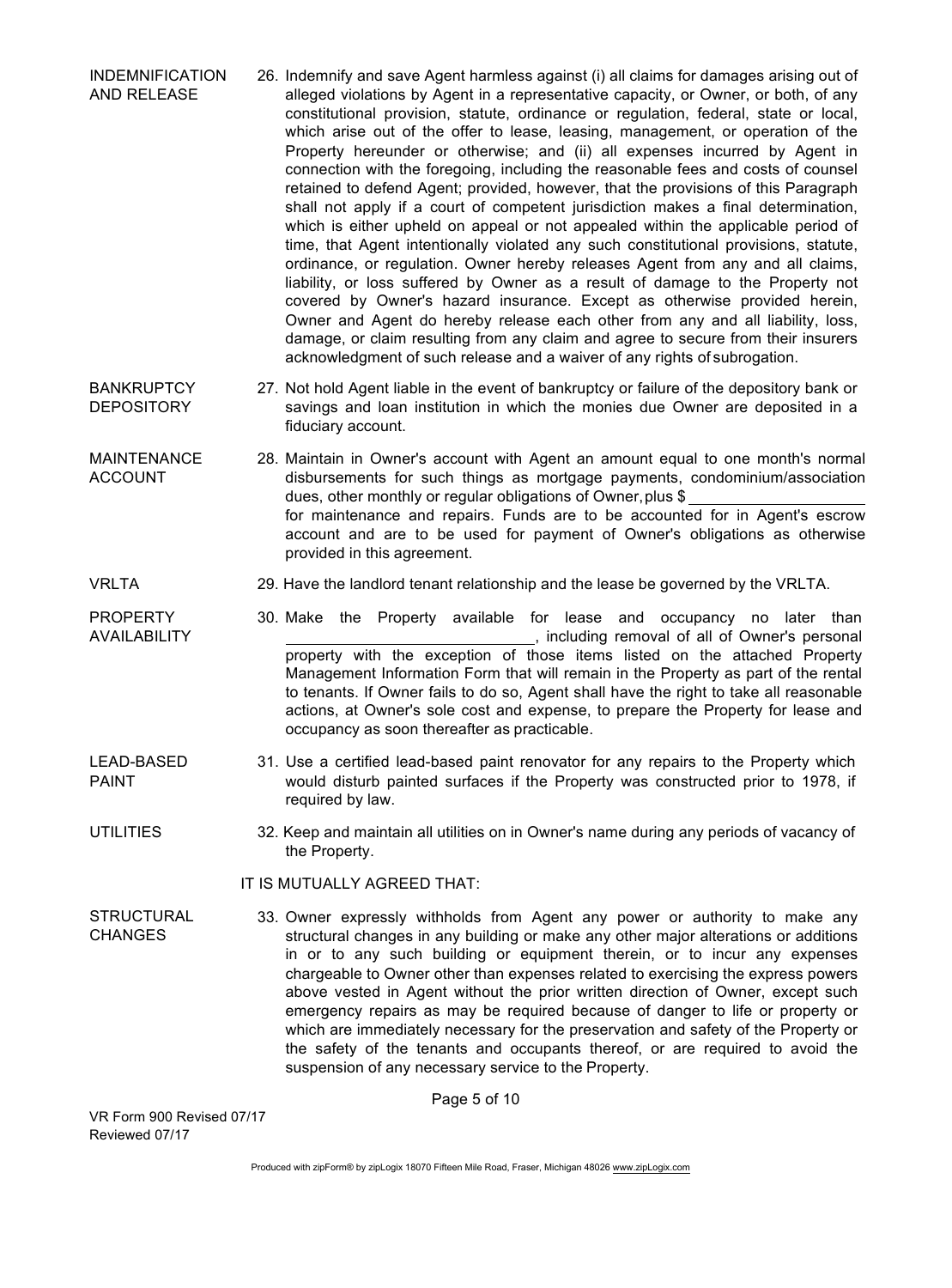- INDEMNIFICATION AND RELEASE 26. Indemnify and save Agent harmless against (i) all claims for damages arising out of alleged violations by Agent in a representative capacity, or Owner, or both, of any constitutional provision, statute, ordinance or regulation, federal, state or local, which arise out of the offer to lease, leasing, management, or operation of the Property hereunder or otherwise; and (ii) all expenses incurred by Agent in connection with the foregoing, including the reasonable fees and costs of counsel retained to defend Agent; provided, however, that the provisions of this Paragraph shall not apply if a court of competent jurisdiction makes a final determination, which is either upheld on appeal or not appealed within the applicable period of time, that Agent intentionally violated any such constitutional provisions, statute, ordinance, or regulation. Owner hereby releases Agent from any and all claims, liability, or loss suffered by Owner as a result of damage to the Property not covered by Owner's hazard insurance. Except as otherwise provided herein, Owner and Agent do hereby release each other from any and all liability, loss, damage, or claim resulting from any claim and agree to secure from their insurers acknowledgment of such release and a waiver of any rights of subrogation.
- **BANKRUPTCY DEPOSITORY** 27. Not hold Agent liable in the event of bankruptcy or failure of the depository bank or savings and loan institution in which the monies due Owner are deposited in a fiduciary account.
- MAINTENANCE ACCOUNT 28. Maintain in Owner's account with Agent an amount equal to one month's normal disbursements for such things as mortgage payments, condominium/association dues, other monthly or regular obligations of Owner, plus \$ for maintenance and repairs. Funds are to be accounted for in Agent's escrow account and are to be used for payment of Owner's obligations as otherwise provided in this agreement.
- VRLTA 29. Have the landlord tenant relationship and the lease be governed by the VRLTA.
- PROPERTY 30. Make the Property available for lease and occupancy no later than AVAILABILITY *AVAILABILITY AVAILABILITY AVAILABILITY AVAILABILITY AUSE 1999 <b>1999 1999 1999 1999 1999 1999 1999 1999 1999 1999 1999 1999 1999 1999 1999 1999 1999 1999 19* property with the exception of those items listed on the attached Property Management Information Form that will remain in the Property as part of the rental to tenants. If Owner fails to do so, Agent shall have the right to take all reasonable actions, at Owner's sole cost and expense, to prepare the Property for lease and occupancy as soon thereafter as practicable.
- LEAD-BASED PAINT 31. Use a certified lead-based paint renovator for any repairs to the Property which would disturb painted surfaces if the Property was constructed prior to 1978, if required by law.
- UTILITIES 32. Keep and maintain all utilities on in Owner's name during any periods of vacancy of the Property.

#### IT IS MUTUALLY AGREED THAT:

**STRUCTURAL CHANGES** 33. Owner expressly withholds from Agent any power or authority to make any structural changes in any building or make any other major alterations or additions in or to any such building or equipment therein, or to incur any expenses chargeable to Owner other than expenses related to exercising the express powers above vested in Agent without the prior written direction of Owner, except such emergency repairs as may be required because of danger to life or property or which are immediately necessary for the preservation and safety of the Property or the safety of the tenants and occupants thereof, or are required to avoid the suspension of any necessary service to the Property.

Page 5 of 10

VR Form 900 Revised 07/17 Reviewed 07/17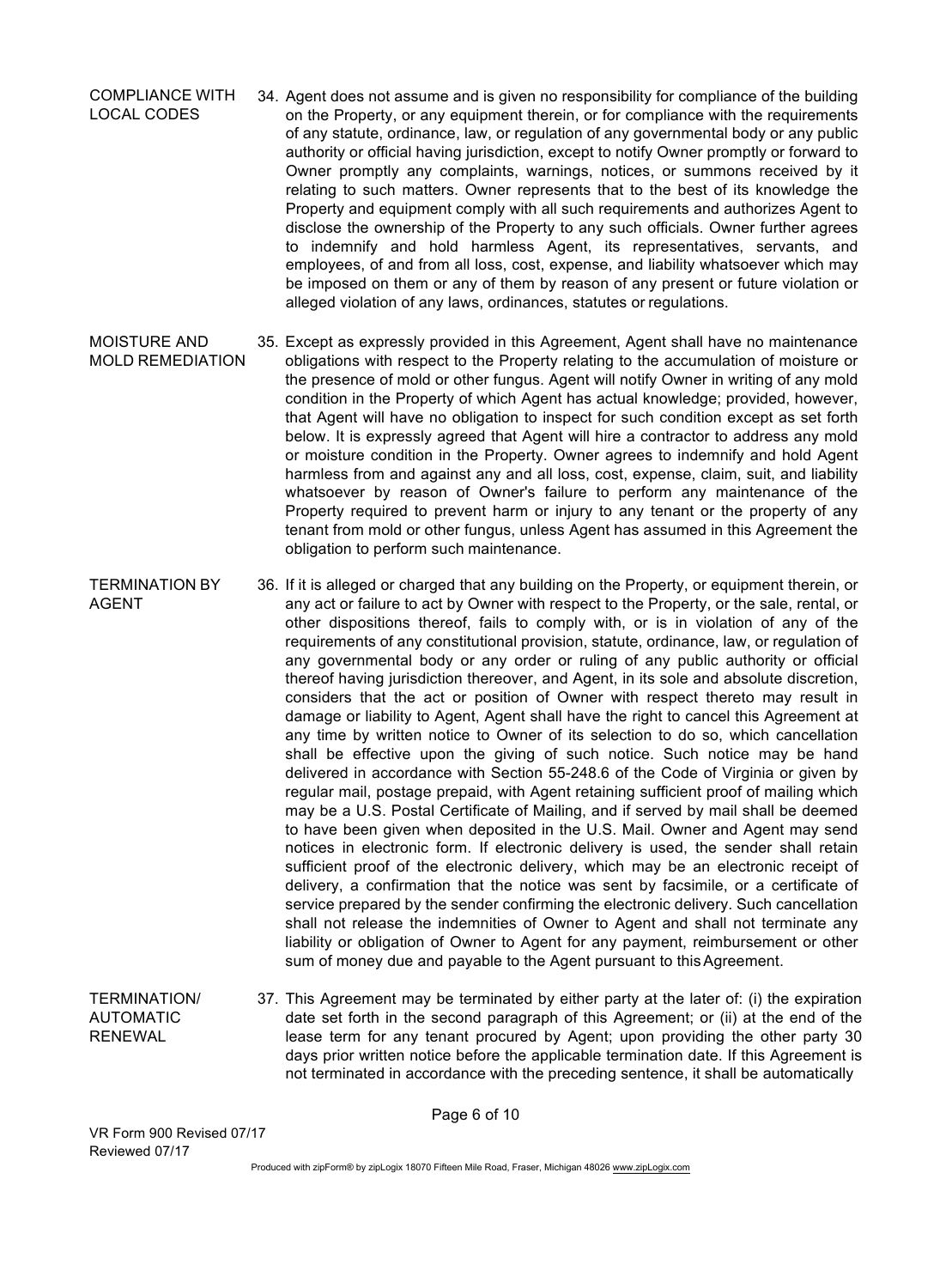COMPLIANCE WITH LOCAL CODES 34. Agent does not assume and is given no responsibility for compliance of the building on the Property, or any equipment therein, or for compliance with the requirements of any statute, ordinance, law, or regulation of any governmental body or any public authority or official having jurisdiction, except to notify Owner promptly or forward to Owner promptly any complaints, warnings, notices, or summons received by it relating to such matters. Owner represents that to the best of its knowledge the Property and equipment comply with all such requirements and authorizes Agent to disclose the ownership of the Property to any such officials. Owner further agrees to indemnify and hold harmless Agent, its representatives, servants, and employees, of and from all loss, cost, expense, and liability whatsoever which may be imposed on them or any of them by reason of any present or future violation or alleged violation of any laws, ordinances, statutes or regulations.

MOISTURE AND MOLD REMEDIATION 35. Except as expressly provided in this Agreement, Agent shall have no maintenance obligations with respect to the Property relating to the accumulation of moisture or the presence of mold or other fungus. Agent will notify Owner in writing of any mold condition in the Property of which Agent has actual knowledge; provided, however, that Agent will have no obligation to inspect for such condition except as set forth below. It is expressly agreed that Agent will hire a contractor to address any mold or moisture condition in the Property. Owner agrees to indemnify and hold Agent harmless from and against any and all loss, cost, expense, claim, suit, and liability whatsoever by reason of Owner's failure to perform any maintenance of the Property required to prevent harm or injury to any tenant or the property of any tenant from mold or other fungus, unless Agent has assumed in this Agreement the obligation to perform such maintenance.

TERMINATION BY AGENT 36. If it is alleged or charged that any building on the Property, or equipment therein, or any act or failure to act by Owner with respect to the Property, or the sale, rental, or other dispositions thereof, fails to comply with, or is in violation of any of the requirements of any constitutional provision, statute, ordinance, law, or regulation of any governmental body or any order or ruling of any public authority or official thereof having jurisdiction thereover, and Agent, in its sole and absolute discretion, considers that the act or position of Owner with respect thereto may result in damage or liability to Agent, Agent shall have the right to cancel this Agreement at any time by written notice to Owner of its selection to do so, which cancellation shall be effective upon the giving of such notice. Such notice may be hand delivered in accordance with Section 55-248.6 of the Code of Virginia or given by regular mail, postage prepaid, with Agent retaining sufficient proof of mailing which may be a U.S. Postal Certificate of Mailing, and if served by mail shall be deemed to have been given when deposited in the U.S. Mail. Owner and Agent may send notices in electronic form. If electronic delivery is used, the sender shall retain sufficient proof of the electronic delivery, which may be an electronic receipt of delivery, a confirmation that the notice was sent by facsimile, or a certificate of service prepared by the sender confirming the electronic delivery. Such cancellation shall not release the indemnities of Owner to Agent and shall not terminate any liability or obligation of Owner to Agent for any payment, reimbursement or other sum of money due and payable to the Agent pursuant to this Agreement.

TERMINATION/ AUTOMATIC RENEWAL 37. This Agreement may be terminated by either party at the later of: (i) the expiration date set forth in the second paragraph of this Agreement; or (ii) at the end of the lease term for any tenant procured by Agent; upon providing the other party 30 days prior written notice before the applicable termination date. If this Agreement is not terminated in accordance with the preceding sentence, it shall be automatically

Page 6 of 10

VR Form 900 Revised 07/17 Reviewed 07/17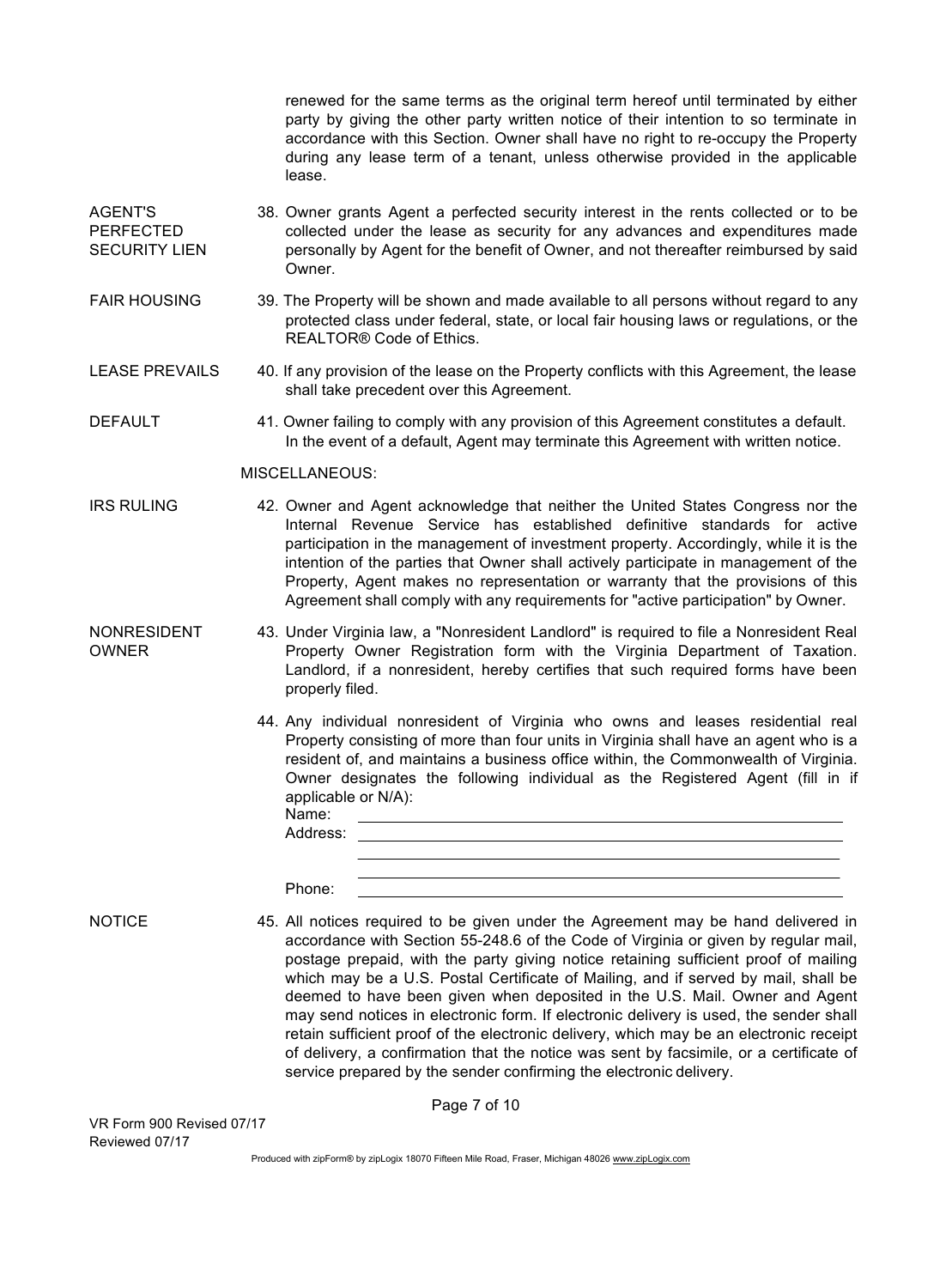renewed for the same terms as the original term hereof until terminated by either party by giving the other party written notice of their intention to so terminate in accordance with this Section. Owner shall have no right to re-occupy the Property during any lease term of a tenant, unless otherwise provided in the applicable lease.

- AGENT'S PERFECTED SECURITY LIEN 38. Owner grants Agent a perfected security interest in the rents collected or to be collected under the lease as security for any advances and expenditures made personally by Agent for the benefit of Owner, and not thereafter reimbursed by said Owner.
- FAIR HOUSING 39. The Property will be shown and made available to all persons without regard to any protected class under federal, state, or local fair housing laws or regulations, or the REALTOR® Code of Ethics.
- LEASE PREVAILS 40. If any provision of the lease on the Property conflicts with this Agreement, the lease shall take precedent over this Agreement.
- DEFAULT 41. Owner failing to comply with any provision of this Agreement constitutes a default. In the event of a default, Agent may terminate this Agreement with written notice.

#### MISCELLANEOUS:

- IRS RULING 42. Owner and Agent acknowledge that neither the United States Congress nor the Internal Revenue Service has established definitive standards for active participation in the management of investment property. Accordingly, while it is the intention of the parties that Owner shall actively participate in management of the Property, Agent makes no representation or warranty that the provisions of this Agreement shall comply with any requirements for "active participation" by Owner.
- NONRESIDENT OWNER 43. Under Virginia law, a "Nonresident Landlord" is required to file a Nonresident Real Property Owner Registration form with the Virginia Department of Taxation. Landlord, if a nonresident, hereby certifies that such required forms have been properly filed.
	- 44. Any individual nonresident of Virginia who owns and leases residential real Property consisting of more than four units in Virginia shall have an agent who is a resident of, and maintains a business office within, the Commonwealth of Virginia. Owner designates the following individual as the Registered Agent (fill in if applicable or N/A): Name:

| Address: |
|----------|
|----------|

Phone:

NOTICE 45. All notices required to be given under the Agreement may be hand delivered in accordance with Section 55-248.6 of the Code of Virginia or given by regular mail, postage prepaid, with the party giving notice retaining sufficient proof of mailing which may be a U.S. Postal Certificate of Mailing, and if served by mail, shall be deemed to have been given when deposited in the U.S. Mail. Owner and Agent may send notices in electronic form. If electronic delivery is used, the sender shall retain sufficient proof of the electronic delivery, which may be an electronic receipt of delivery, a confirmation that the notice was sent by facsimile, or a certificate of service prepared by the sender confirming the electronic delivery.

VR Form 900 Revised 07/17 Reviewed 07/17

Produced with zipForm® by zipLogix 18070 Fifteen Mile Road, Fraser, Michigan 48026 www.zipLogix.com

Page 7 of 10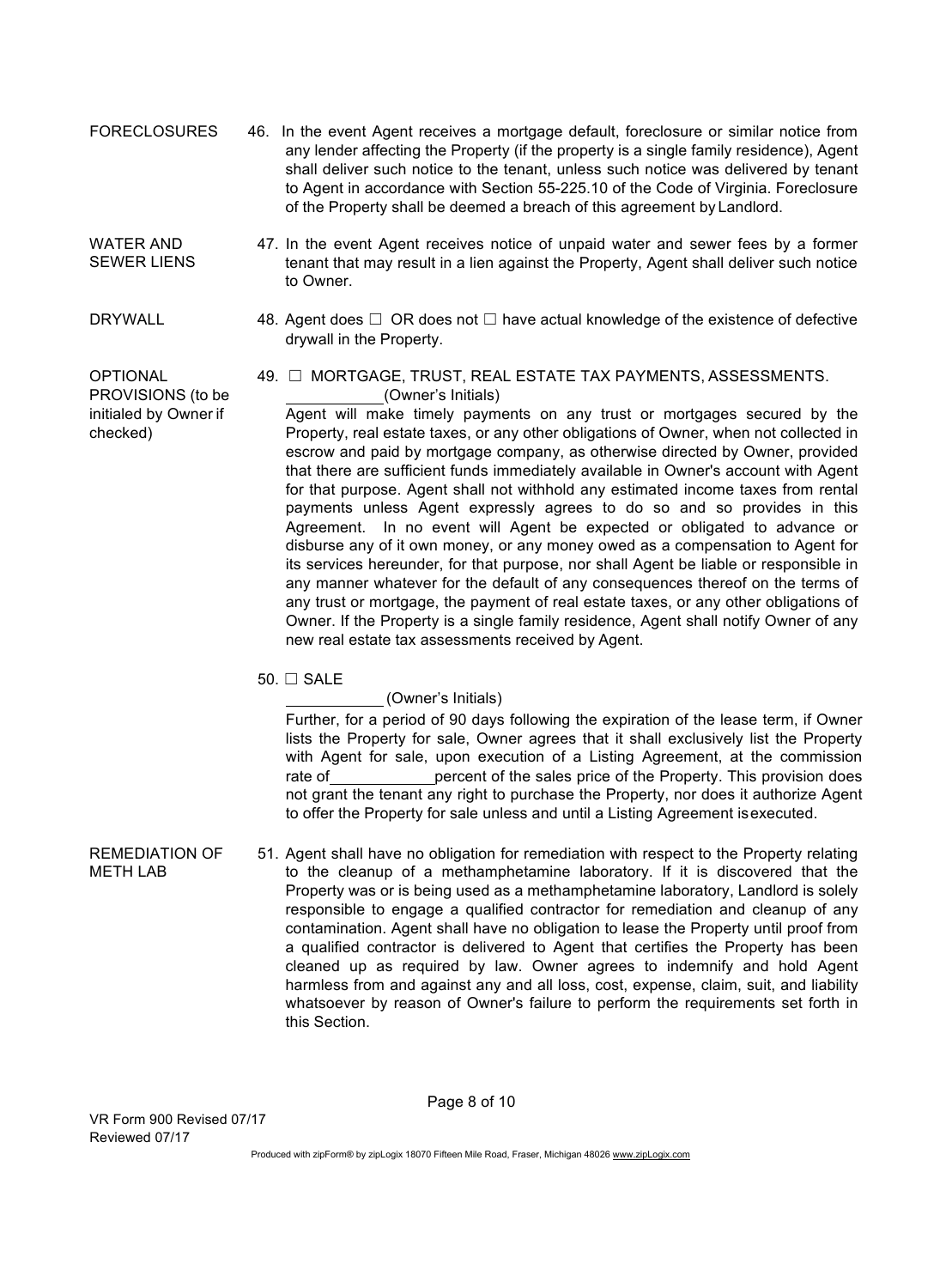FORECLOSURES 46. In the event Agent receives a mortgage default, foreclosure or similar notice from any lender affecting the Property (if the property is a single family residence), Agent shall deliver such notice to the tenant, unless such notice was delivered by tenant to Agent in accordance with Section 55-225.10 of the Code of Virginia. Foreclosure of the Property shall be deemed a breach of this agreement by Landlord.

#### WATER AND SEWER LIENS

initialed by Owner if

checked)

- 47. In the event Agent receives notice of unpaid water and sewer fees by a former tenant that may result in a lien against the Property, Agent shall deliver such notice to Owner.
- DRYWALL 48. Agent does  $□$  OR does not  $□$  have actual knowledge of the existence of defective drywall in the Property.

OPTIONAL 49. ☐ MORTGAGE, TRUST, REAL ESTATE TAX PAYMENTS, ASSESSMENTS. PROVISIONS (to be  $(Owner's\text{ Initial})$ )

Agent will make timely payments on any trust or mortgages secured by the Property, real estate taxes, or any other obligations of Owner, when not collected in escrow and paid by mortgage company, as otherwise directed by Owner, provided that there are sufficient funds immediately available in Owner's account with Agent for that purpose. Agent shall not withhold any estimated income taxes from rental payments unless Agent expressly agrees to do so and so provides in this Agreement. In no event will Agent be expected or obligated to advance or disburse any of it own money, or any money owed as a compensation to Agent for its services hereunder, for that purpose, nor shall Agent be liable or responsible in any manner whatever for the default of any consequences thereof on the terms of any trust or mortgage, the payment of real estate taxes, or any other obligations of Owner. If the Property is a single family residence, Agent shall notify Owner of any new real estate tax assessments received by Agent.

 $50. \Box$  SALE

(Owner's Initials)

Further, for a period of 90 days following the expiration of the lease term, if Owner lists the Property for sale, Owner agrees that it shall exclusively list the Property with Agent for sale, upon execution of a Listing Agreement, at the commission rate of percent of the sales price of the Property. This provision does not grant the tenant any right to purchase the Property, nor does it authorize Agent to offer the Property for sale unless and until a Listing Agreement isexecuted.

REMEDIATION OF METH LAB 51. Agent shall have no obligation for remediation with respect to the Property relating to the cleanup of a methamphetamine laboratory. If it is discovered that the Property was or is being used as a methamphetamine laboratory, Landlord is solely responsible to engage a qualified contractor for remediation and cleanup of any contamination. Agent shall have no obligation to lease the Property until proof from a qualified contractor is delivered to Agent that certifies the Property has been cleaned up as required by law. Owner agrees to indemnify and hold Agent harmless from and against any and all loss, cost, expense, claim, suit, and liability whatsoever by reason of Owner's failure to perform the requirements set forth in this Section.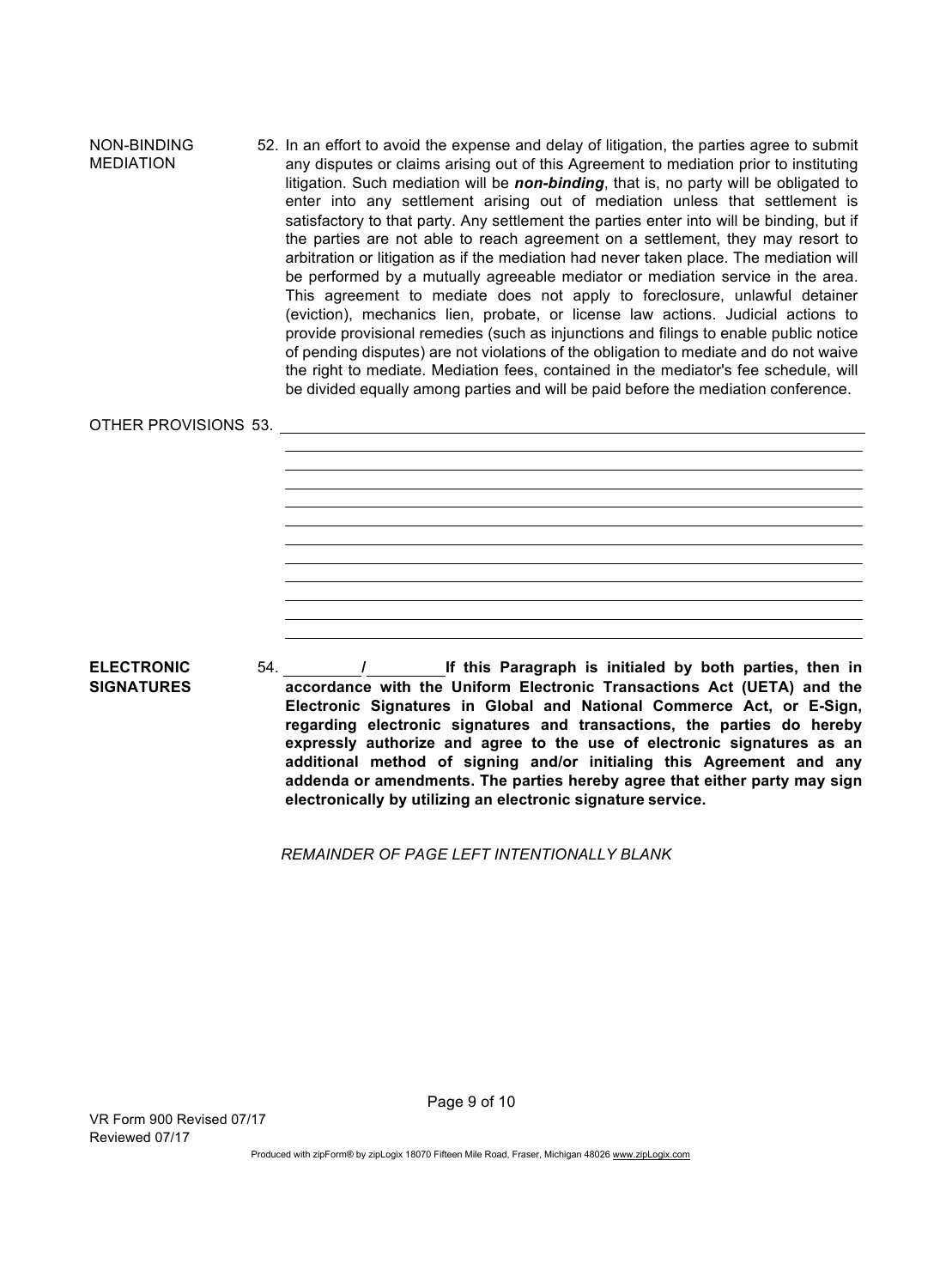NON-BINDING MEDIATION 52. In an effort to avoid the expense and delay of litigation, the parties agree to submit any disputes or claims arising out of this Agreement to mediation prior to instituting litigation. Such mediation will be *non-binding*, that is, no party will be obligated to enter into any settlement arising out of mediation unless that settlement is satisfactory to that party. Any settlement the parties enter into will be binding, but if the parties are not able to reach agreement on a settlement, they may resort to arbitration or litigation as if the mediation had never taken place. The mediation will be performed by a mutually agreeable mediator or mediation service in the area. This agreement to mediate does not apply to foreclosure, unlawful detainer (eviction), mechanics lien, probate, or license law actions. Judicial actions to provide provisional remedies (such as injunctions and filings to enable public notice of pending disputes) are not violations of the obligation to mediate and do not waive the right to mediate. Mediation fees, contained in the mediator's fee schedule, will be divided equally among parties and will be paid before the mediation conference.

#### OTHER PROVISIONS 53.

54. **/ If this Paragraph is initialed by both parties, then in** 

**ELECTRONIC SIGNATURES**

**accordance with the Uniform Electronic Transactions Act (UETA) and the Electronic Signatures in Global and National Commerce Act, or E-Sign, regarding electronic signatures and transactions, the parties do hereby expressly authorize and agree to the use of electronic signatures as an additional method of signing and/or initialing this Agreement and any addenda or amendments. The parties hereby agree that either party may sign electronically by utilizing an electronic signature service.**

*REMAINDER OF PAGE LEFT INTENTIONALLY BLANK*

VR Form 900 Revised 07/17 Reviewed 07/17

Page 9 of 10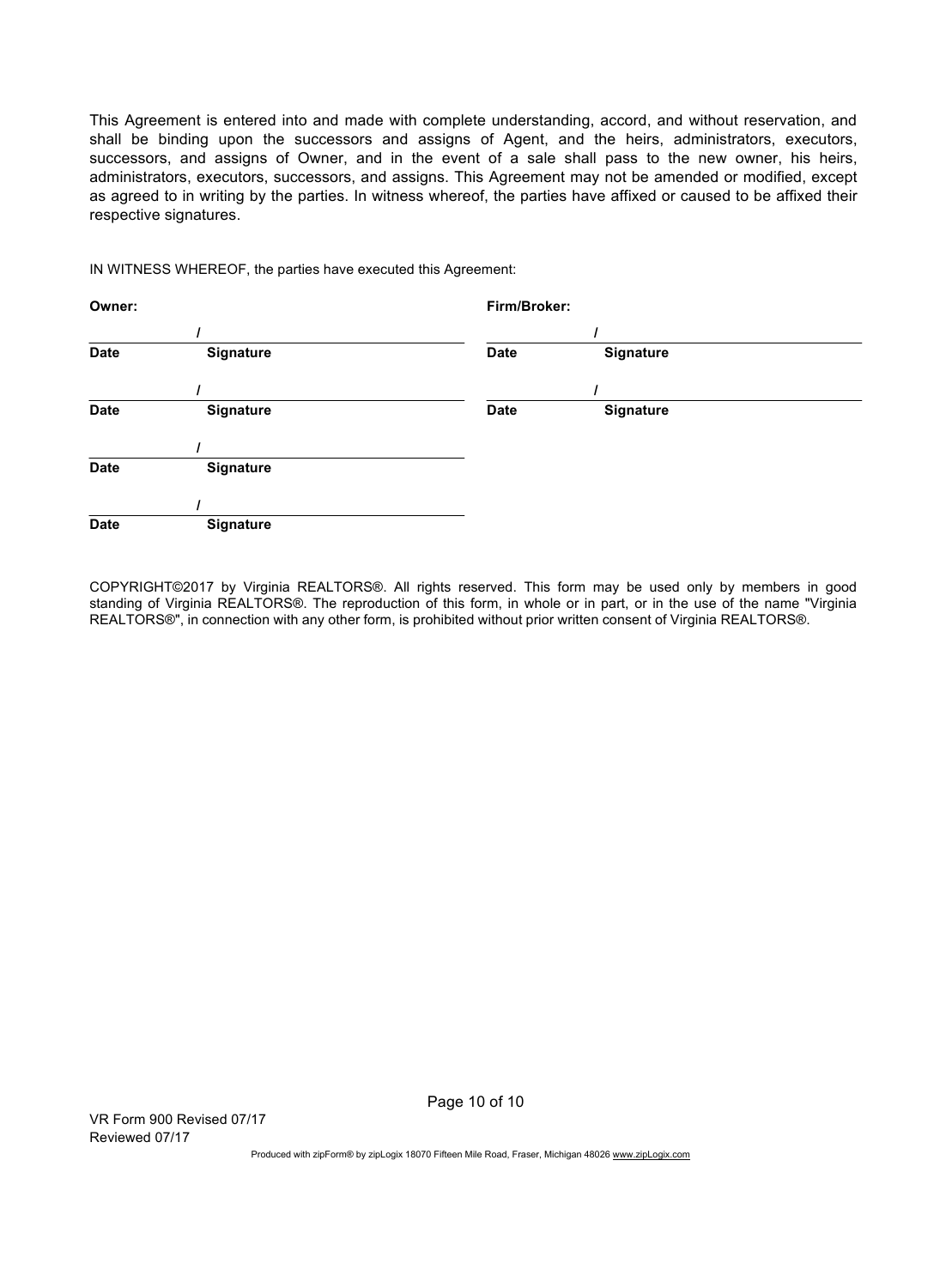This Agreement is entered into and made with complete understanding, accord, and without reservation, and shall be binding upon the successors and assigns of Agent, and the heirs, administrators, executors, successors, and assigns of Owner, and in the event of a sale shall pass to the new owner, his heirs, administrators, executors, successors, and assigns. This Agreement may not be amended or modified, except as agreed to in writing by the parties. In witness whereof, the parties have affixed or caused to be affixed their respective signatures.

IN WITNESS WHEREOF, the parties have executed this Agreement:

| Owner:      |                  | Firm/Broker: |           |  |
|-------------|------------------|--------------|-----------|--|
|             |                  |              |           |  |
| <b>Date</b> | <b>Signature</b> | <b>Date</b>  | Signature |  |
|             |                  |              |           |  |
| <b>Date</b> | <b>Signature</b> | <b>Date</b>  | Signature |  |
|             |                  |              |           |  |
| <b>Date</b> | Signature        |              |           |  |
|             |                  |              |           |  |
| <b>Date</b> | <b>Signature</b> |              |           |  |

COPYRIGHT©2017 by Virginia REALTORS®. All rights reserved. This form may be used only by members in good standing of Virginia REALTORS®. The reproduction of this form, in whole or in part, or in the use of the name "Virginia REALTORS®", in connection with any other form, is prohibited without prior written consent of Virginia REALTORS®.

Page 10 of 10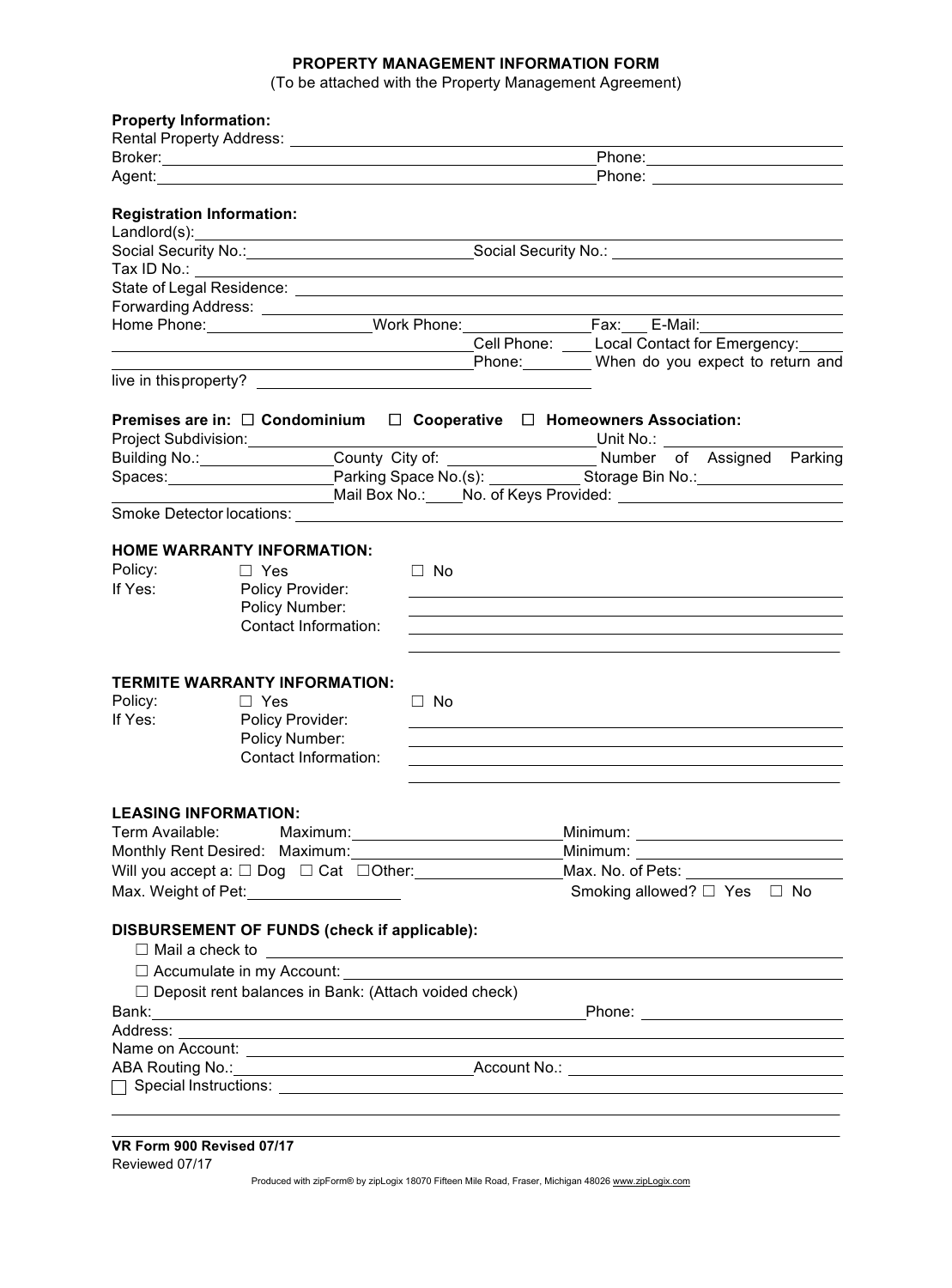### **PROPERTY MANAGEMENT INFORMATION FORM**

(To be attached with the Property Management Agreement)

| <b>Property Information:</b>     |                                                                                                                                                                                                                                                                                                                                                                               |                                                                                                |                                                                                                                |  |  |
|----------------------------------|-------------------------------------------------------------------------------------------------------------------------------------------------------------------------------------------------------------------------------------------------------------------------------------------------------------------------------------------------------------------------------|------------------------------------------------------------------------------------------------|----------------------------------------------------------------------------------------------------------------|--|--|
|                                  |                                                                                                                                                                                                                                                                                                                                                                               |                                                                                                |                                                                                                                |  |  |
|                                  |                                                                                                                                                                                                                                                                                                                                                                               |                                                                                                | Phone: ________________________                                                                                |  |  |
|                                  |                                                                                                                                                                                                                                                                                                                                                                               | Phone: ________________________                                                                |                                                                                                                |  |  |
| <b>Registration Information:</b> |                                                                                                                                                                                                                                                                                                                                                                               |                                                                                                |                                                                                                                |  |  |
|                                  | $\fbox{Landlord(s):}\n \begin{picture}(25,20) \put(0,0){\vector(1,0){100}} \put(0,0){\vector(1,0){100}} \put(0,0){\vector(1,0){100}} \put(0,0){\vector(1,0){100}} \put(0,0){\vector(1,0){100}} \put(0,0){\vector(1,0){100}} \put(0,0){\vector(1,0){100}} \put(0,0){\vector(1,0){100}} \put(0,0){\vector(1,0){100}} \put(0,0){\vector(1,0){100}} \put(0,0){\vector(1,0){100}}$ |                                                                                                | Social Security No.: Social Security No.: Cooking Social Security No.:                                         |  |  |
|                                  |                                                                                                                                                                                                                                                                                                                                                                               |                                                                                                |                                                                                                                |  |  |
|                                  |                                                                                                                                                                                                                                                                                                                                                                               |                                                                                                |                                                                                                                |  |  |
|                                  |                                                                                                                                                                                                                                                                                                                                                                               |                                                                                                |                                                                                                                |  |  |
|                                  |                                                                                                                                                                                                                                                                                                                                                                               |                                                                                                | Home Phone: _______________________Work Phone: __________________________________                              |  |  |
|                                  |                                                                                                                                                                                                                                                                                                                                                                               |                                                                                                | Cell Phone: Local Contact for Emergency:                                                                       |  |  |
|                                  |                                                                                                                                                                                                                                                                                                                                                                               |                                                                                                |                                                                                                                |  |  |
|                                  |                                                                                                                                                                                                                                                                                                                                                                               |                                                                                                |                                                                                                                |  |  |
|                                  |                                                                                                                                                                                                                                                                                                                                                                               | Premises are in: $\square$ Condominium $\square$ Cooperative $\square$ Homeowners Association: |                                                                                                                |  |  |
|                                  |                                                                                                                                                                                                                                                                                                                                                                               |                                                                                                |                                                                                                                |  |  |
|                                  |                                                                                                                                                                                                                                                                                                                                                                               |                                                                                                |                                                                                                                |  |  |
|                                  |                                                                                                                                                                                                                                                                                                                                                                               |                                                                                                |                                                                                                                |  |  |
|                                  |                                                                                                                                                                                                                                                                                                                                                                               |                                                                                                | Mail Box No.: No. of Keys Provided: No. 1998 Mail Box No.: No. 06 Keys Provided:                               |  |  |
|                                  |                                                                                                                                                                                                                                                                                                                                                                               |                                                                                                |                                                                                                                |  |  |
|                                  | <b>HOME WARRANTY INFORMATION:</b>                                                                                                                                                                                                                                                                                                                                             |                                                                                                |                                                                                                                |  |  |
| Policy:                          | $\Box$ Yes                                                                                                                                                                                                                                                                                                                                                                    | $\Box$ No                                                                                      |                                                                                                                |  |  |
| If Yes:                          | Policy Provider:                                                                                                                                                                                                                                                                                                                                                              |                                                                                                |                                                                                                                |  |  |
|                                  | Policy Number:                                                                                                                                                                                                                                                                                                                                                                |                                                                                                |                                                                                                                |  |  |
|                                  | Contact Information:                                                                                                                                                                                                                                                                                                                                                          |                                                                                                |                                                                                                                |  |  |
|                                  |                                                                                                                                                                                                                                                                                                                                                                               |                                                                                                |                                                                                                                |  |  |
|                                  |                                                                                                                                                                                                                                                                                                                                                                               |                                                                                                |                                                                                                                |  |  |
|                                  | <b>TERMITE WARRANTY INFORMATION:</b>                                                                                                                                                                                                                                                                                                                                          |                                                                                                |                                                                                                                |  |  |
| Policy:<br>If Yes:               | $\Box$ Yes                                                                                                                                                                                                                                                                                                                                                                    | $\Box$ No                                                                                      |                                                                                                                |  |  |
|                                  | Policy Provider:<br>Policy Number:                                                                                                                                                                                                                                                                                                                                            |                                                                                                |                                                                                                                |  |  |
|                                  | Contact Information:                                                                                                                                                                                                                                                                                                                                                          |                                                                                                |                                                                                                                |  |  |
|                                  |                                                                                                                                                                                                                                                                                                                                                                               |                                                                                                |                                                                                                                |  |  |
|                                  |                                                                                                                                                                                                                                                                                                                                                                               |                                                                                                |                                                                                                                |  |  |
|                                  | <b>LEASING INFORMATION:</b>                                                                                                                                                                                                                                                                                                                                                   |                                                                                                |                                                                                                                |  |  |
| Term Available:                  |                                                                                                                                                                                                                                                                                                                                                                               |                                                                                                |                                                                                                                |  |  |
|                                  |                                                                                                                                                                                                                                                                                                                                                                               |                                                                                                | $\begin{tabular}{l} Minimum: \end{tabular}$                                                                    |  |  |
|                                  |                                                                                                                                                                                                                                                                                                                                                                               | Will you accept a: $\square$ Dog $\square$ Cat $\square$ Other:                                |                                                                                                                |  |  |
| Max. Weight of Pet:              | <u> 1980 - Andrea Britain, politik eta politik eta politik eta politik eta politik eta politik eta politik eta p</u>                                                                                                                                                                                                                                                          |                                                                                                | Smoking allowed? $\Box$ Yes $\Box$ No                                                                          |  |  |
|                                  | DISBURSEMENT OF FUNDS (check if applicable):                                                                                                                                                                                                                                                                                                                                  |                                                                                                |                                                                                                                |  |  |
|                                  |                                                                                                                                                                                                                                                                                                                                                                               |                                                                                                | $\Box$ Mail a check to $\Box$                                                                                  |  |  |
|                                  |                                                                                                                                                                                                                                                                                                                                                                               |                                                                                                | $\square$ Accumulate in my Account: $\square$                                                                  |  |  |
|                                  | $\Box$ Deposit rent balances in Bank: (Attach voided check)                                                                                                                                                                                                                                                                                                                   |                                                                                                |                                                                                                                |  |  |
| Bank:                            |                                                                                                                                                                                                                                                                                                                                                                               |                                                                                                |                                                                                                                |  |  |
| Address:                         |                                                                                                                                                                                                                                                                                                                                                                               |                                                                                                | ,我们也不会有一个人的人,我们也不会有一个人的人,我们也不会有一个人的人。""我们,我们也不会有一个人的人,我们也不会有一个人的人,我们也不会有一个人的人,我们                               |  |  |
|                                  |                                                                                                                                                                                                                                                                                                                                                                               |                                                                                                |                                                                                                                |  |  |
|                                  |                                                                                                                                                                                                                                                                                                                                                                               |                                                                                                | ABA Routing No.: 1998. Account No.: 2008. Account No.: 2008. Account No.: 2008. Account No.: 2008. Account No. |  |  |
|                                  |                                                                                                                                                                                                                                                                                                                                                                               |                                                                                                | $\Box$ Special Instructions: $\Box$                                                                            |  |  |
|                                  |                                                                                                                                                                                                                                                                                                                                                                               |                                                                                                |                                                                                                                |  |  |
|                                  |                                                                                                                                                                                                                                                                                                                                                                               |                                                                                                |                                                                                                                |  |  |
|                                  |                                                                                                                                                                                                                                                                                                                                                                               |                                                                                                |                                                                                                                |  |  |

**VR Form 900 Revised 07/17** Reviewed 07/17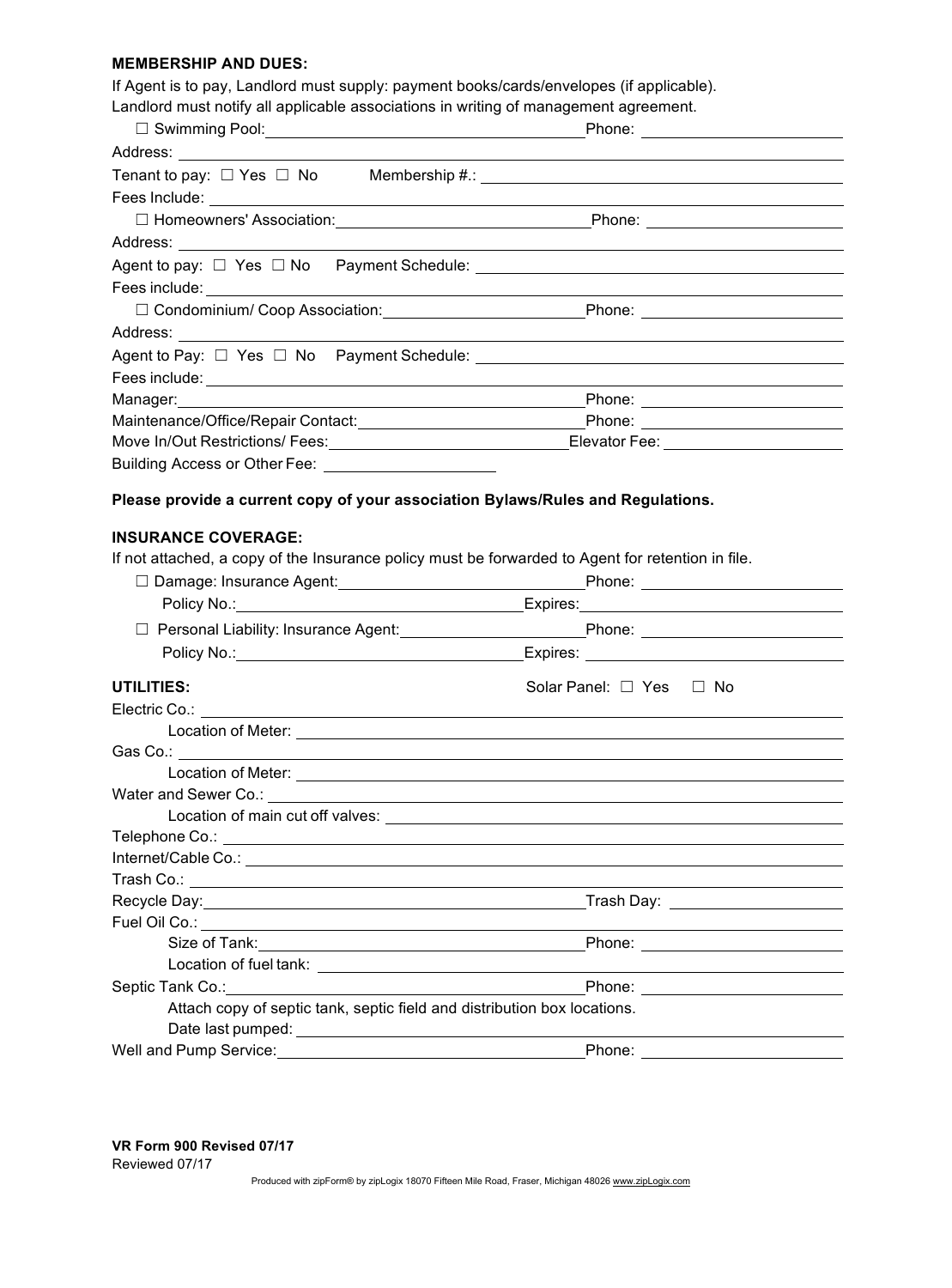## **MEMBERSHIP AND DUES:**

If Agent is to pay, Landlord must supply: payment books/cards/envelopes (if applicable).

Landlord must notify all applicable associations in writing of management agreement.

| Tenant to pay: $\Box$ Yes $\Box$ No Membership #.: $\Box$                                         |                                                                                                                                                                                                                                      |
|---------------------------------------------------------------------------------------------------|--------------------------------------------------------------------------------------------------------------------------------------------------------------------------------------------------------------------------------------|
|                                                                                                   |                                                                                                                                                                                                                                      |
|                                                                                                   |                                                                                                                                                                                                                                      |
|                                                                                                   |                                                                                                                                                                                                                                      |
|                                                                                                   |                                                                                                                                                                                                                                      |
| Fees include: <u>______________________________</u>                                               |                                                                                                                                                                                                                                      |
|                                                                                                   | □ Condominium/ Coop Association: Phone: Phone: Phone: 2002年 2012年 2022年 2022年 2022年 2022年 2022年 2022年 2022年 2022年 2022年 2022年 2022年 2022年 2022年 2022年 2022年 2022年 2022年 2022年 2022年 2022年 2022年 2022年 2022年 2022年 2022年 2022年        |
|                                                                                                   |                                                                                                                                                                                                                                      |
|                                                                                                   |                                                                                                                                                                                                                                      |
|                                                                                                   |                                                                                                                                                                                                                                      |
|                                                                                                   |                                                                                                                                                                                                                                      |
|                                                                                                   |                                                                                                                                                                                                                                      |
|                                                                                                   |                                                                                                                                                                                                                                      |
| Building Access or Other Fee: <b>contain the Contract of Access</b> or Other Fee:                 |                                                                                                                                                                                                                                      |
|                                                                                                   |                                                                                                                                                                                                                                      |
| Please provide a current copy of your association Bylaws/Rules and Regulations.                   |                                                                                                                                                                                                                                      |
|                                                                                                   |                                                                                                                                                                                                                                      |
| <b>INSURANCE COVERAGE:</b>                                                                        |                                                                                                                                                                                                                                      |
| If not attached, a copy of the Insurance policy must be forwarded to Agent for retention in file. |                                                                                                                                                                                                                                      |
|                                                                                                   |                                                                                                                                                                                                                                      |
|                                                                                                   | Policy No.: <u>New York: New York: New York: New York: New York: New York: New York: New York: New York: New York: New York: New York: New York: New York: New York: New York: New York: New York: New York: New York: New York:</u> |
|                                                                                                   |                                                                                                                                                                                                                                      |
|                                                                                                   | Policy No.: <u>Noting the Second Community of Second Community Contract Community Contract Community Community Co</u>                                                                                                                |
|                                                                                                   |                                                                                                                                                                                                                                      |
| UTILITIES:                                                                                        | Solar Panel: $\Box$ Yes $\Box$ No                                                                                                                                                                                                    |
|                                                                                                   |                                                                                                                                                                                                                                      |
|                                                                                                   |                                                                                                                                                                                                                                      |
|                                                                                                   |                                                                                                                                                                                                                                      |
|                                                                                                   | Location of Meter: Network and Security and Security and Security and Security and Security and Security and Security and Security and Security and Security and Security and Security and Security and Security and Security        |
|                                                                                                   |                                                                                                                                                                                                                                      |
|                                                                                                   |                                                                                                                                                                                                                                      |
|                                                                                                   |                                                                                                                                                                                                                                      |
|                                                                                                   |                                                                                                                                                                                                                                      |
|                                                                                                   |                                                                                                                                                                                                                                      |
| Recycle Day: 1998 Contract Day:                                                                   |                                                                                                                                                                                                                                      |
|                                                                                                   |                                                                                                                                                                                                                                      |
|                                                                                                   |                                                                                                                                                                                                                                      |
| Septic Tank Co.:                                                                                  |                                                                                                                                                                                                                                      |
| Attach copy of septic tank, septic field and distribution box locations.                          |                                                                                                                                                                                                                                      |
|                                                                                                   |                                                                                                                                                                                                                                      |
| Well and Pump Service:                                                                            | Phone:                                                                                                                                                                                                                               |
|                                                                                                   |                                                                                                                                                                                                                                      |

**VR Form 900 Revised 07/17** Reviewed 07/17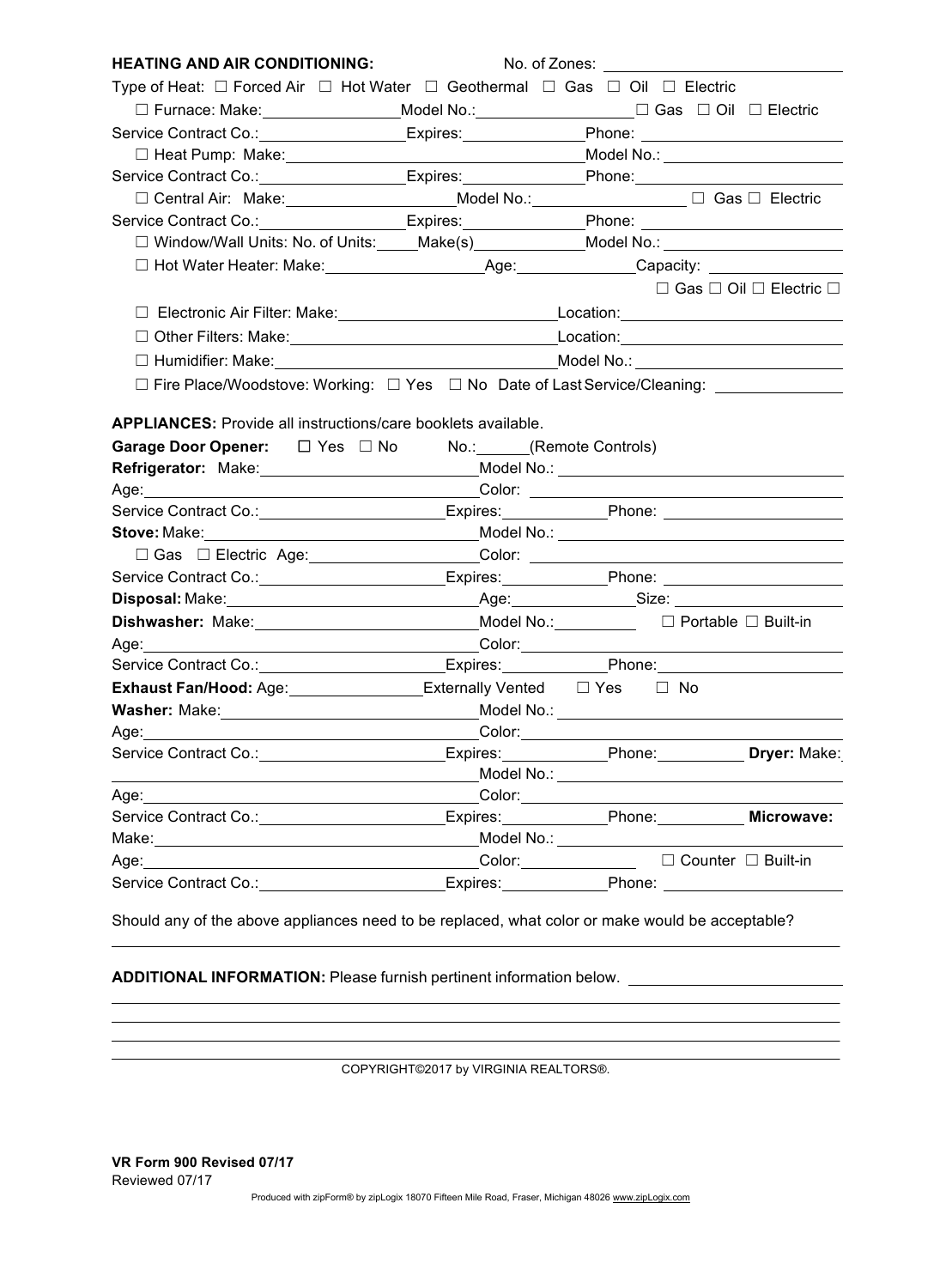| <b>HEATING AND AIR CONDITIONING:</b>                                                                                                                                                                                           | No. of Zones: _____________                                                                                                                                                                                                    |                                              |
|--------------------------------------------------------------------------------------------------------------------------------------------------------------------------------------------------------------------------------|--------------------------------------------------------------------------------------------------------------------------------------------------------------------------------------------------------------------------------|----------------------------------------------|
| Type of Heat: $\Box$ Forced Air $\Box$ Hot Water $\Box$ Geothermal $\Box$ Gas $\Box$ Oil $\Box$ Electric                                                                                                                       |                                                                                                                                                                                                                                |                                              |
| □ Furnace: Make: ____________________Model No.: ________________________________ □ Gas □ Oil □ Electric                                                                                                                        |                                                                                                                                                                                                                                |                                              |
| Service Contract Co.: _________________Expires:_________________________________                                                                                                                                               |                                                                                                                                                                                                                                |                                              |
|                                                                                                                                                                                                                                |                                                                                                                                                                                                                                |                                              |
| Service Contract Co.: _________________Expires: _______________Phone: _____________________________                                                                                                                            |                                                                                                                                                                                                                                |                                              |
|                                                                                                                                                                                                                                |                                                                                                                                                                                                                                |                                              |
| Service Contract Co.: _________________Expires: ______________Phone: ____________                                                                                                                                              |                                                                                                                                                                                                                                |                                              |
| □ Window/Wall Units: No. of Units: Make(s) Model No.: Model No.: Model No.: Notel No.: No. 01                                                                                                                                  |                                                                                                                                                                                                                                |                                              |
|                                                                                                                                                                                                                                |                                                                                                                                                                                                                                |                                              |
|                                                                                                                                                                                                                                |                                                                                                                                                                                                                                | $\Box$ Gas $\Box$ Oil $\Box$ Electric $\Box$ |
|                                                                                                                                                                                                                                |                                                                                                                                                                                                                                |                                              |
| □ Other Filters: Make: Nate: Nate: National Accordination: National Accordination: National Accordination: National Accordination: National Accordination: National Accordination: National Accordination: National Accordina  |                                                                                                                                                                                                                                |                                              |
|                                                                                                                                                                                                                                |                                                                                                                                                                                                                                |                                              |
| □ Fire Place/Woodstove: Working: □ Yes □ No Date of Last Service/Cleaning: ____________                                                                                                                                        |                                                                                                                                                                                                                                |                                              |
|                                                                                                                                                                                                                                |                                                                                                                                                                                                                                |                                              |
| <b>APPLIANCES:</b> Provide all instructions/care booklets available.                                                                                                                                                           |                                                                                                                                                                                                                                |                                              |
| Garage Door Opener: □ Yes □ No No.: (Remote Controls)                                                                                                                                                                          |                                                                                                                                                                                                                                |                                              |
| <b>Refrigerator:</b> Make:____________________________Model No.: ______________________                                                                                                                                        |                                                                                                                                                                                                                                |                                              |
|                                                                                                                                                                                                                                |                                                                                                                                                                                                                                |                                              |
|                                                                                                                                                                                                                                |                                                                                                                                                                                                                                |                                              |
|                                                                                                                                                                                                                                |                                                                                                                                                                                                                                |                                              |
| □ Gas □ Electric Age: Color: Color: Color: 2000 Color: 2000 Color: 2000 Color: 2000 Color: 2000 Color: 2000 Color: 2000 Color: 2000 Color: 2000 Color: 2000 Color: 2000 Color: 2000 Color: 2000 Color: 2000 Color: 2000 Color  |                                                                                                                                                                                                                                |                                              |
| Service Contract Co.: Contract Co.: Contract Co.: Contract Co.: Contract Co.: Contract Co.: Contract Co.: Cont                                                                                                                 |                                                                                                                                                                                                                                |                                              |
|                                                                                                                                                                                                                                |                                                                                                                                                                                                                                |                                              |
| Dishwasher: Make: Molel No.: Model No.: Dishwasher: Make: Built-in                                                                                                                                                             |                                                                                                                                                                                                                                |                                              |
|                                                                                                                                                                                                                                |                                                                                                                                                                                                                                |                                              |
| Service Contract Co.: ___________________________Expires: _____________Phone: _________                                                                                                                                        |                                                                                                                                                                                                                                |                                              |
| <b>Exhaust Fan/Hood:</b> Age: _________________Externally Vented □ Yes □ No                                                                                                                                                    |                                                                                                                                                                                                                                |                                              |
|                                                                                                                                                                                                                                |                                                                                                                                                                                                                                |                                              |
|                                                                                                                                                                                                                                |                                                                                                                                                                                                                                |                                              |
| Service Contract Co.: Communication Control Control Expires: Control Phone: Contract Co.: Control Control Cont                                                                                                                 |                                                                                                                                                                                                                                |                                              |
|                                                                                                                                                                                                                                |                                                                                                                                                                                                                                |                                              |
|                                                                                                                                                                                                                                |                                                                                                                                                                                                                                |                                              |
| Service Contract Co.: \\square\\square\\square\\square\\square\\square\\square\\square\\square\\square\\square\                                                                                                                | Expires: Phone: Microwave:                                                                                                                                                                                                     |                                              |
| Make: We have a state of the state of the state of the state of the state of the state of the state of the state of the state of the state of the state of the state of the state of the state of the state of the state of th |                                                                                                                                                                                                                                |                                              |
| Age: Note that the second contract of the second contract of the second contract of the second contract of the second contract of the second contract of the second contract of the second contract of the second contract of  | Color: □ Built-in                                                                                                                                                                                                              |                                              |
|                                                                                                                                                                                                                                | Expires: Phone: Phone: Phone: Phone: Phone: Phone: Phone: Phone: Phone: Phone: Phone: Phone: Phone: Phone: Phone: Phone: Phone: Phone: Phone: Phone: Phone: Phone: Phone: Phone: Phone: Phone: Phone: Phone: Phone: Phone: Pho |                                              |

Should any of the above appliances need to be replaced, what color or make would be acceptable?

**ADDITIONAL INFORMATION:** Please furnish pertinent information below.

COPYRIGHT©2017 by VIRGINIA REALTORS®.